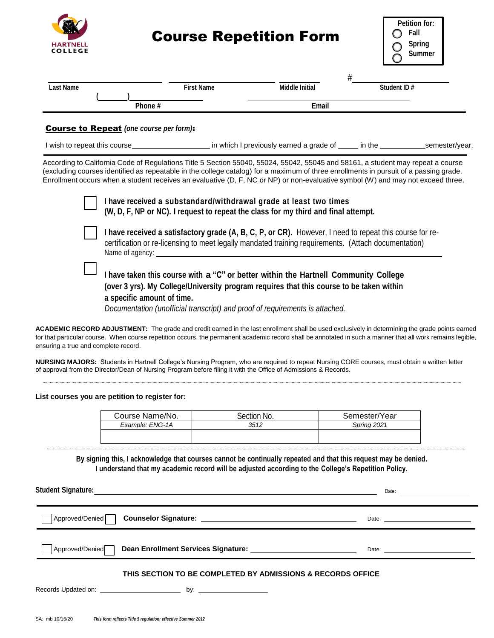

## Course Repetition Form

| <b>Petition for:</b> |        |  |
|----------------------|--------|--|
|                      | Fall   |  |
|                      | Spring |  |
|                      | Summer |  |

| <b>Last Name</b> |        | <b>First Name</b> | Middle Initial | Student ID# |
|------------------|--------|-------------------|----------------|-------------|
|                  |        |                   |                |             |
|                  | Phone# |                   | Email          |             |

## Course to Repeat *(one course per form)*:

| I wish to repeat this course |  |  | in which I previously earned a grade of | in the | semester/vear. |
|------------------------------|--|--|-----------------------------------------|--------|----------------|
|------------------------------|--|--|-----------------------------------------|--------|----------------|

According to California Code of Regulations Title 5 Section 55040, 55024, 55042, 55045 and 58161, a student may repeat a course (excluding courses identified as repeatable in the college catalog) for a maximum of three enrollments in pursuit of a passing grade. Enrollment occurs when a student receives an evaluative (D, F, NC or NP) or non-evaluative symbol (W) and may not exceed three.

| I have received a substandard/withdrawal grade at least two times<br>(W, D, F, NP or NC). I request to repeat the class for my third and final attempt.                                                                                                                                       |
|-----------------------------------------------------------------------------------------------------------------------------------------------------------------------------------------------------------------------------------------------------------------------------------------------|
| I have received a satisfactory grade (A, B, C, P, or CR). However, I need to repeat this course for re-<br>certification or re-licensing to meet legally mandated training requirements. (Attach documentation)<br>Name of agency:                                                            |
| I have taken this course with a "C" or better within the Hartnell Community College<br>(over 3 yrs). My College/University program requires that this course to be taken within<br>a specific amount of time.<br>Documentation (unofficial transcript) and proof of requirements is attached. |

**ACADEMIC RECORD ADJUSTMENT:** The grade and credit earned in the last enrollment shall be used exclusively in determining the grade points earned for that particular course. When course repetition occurs, the permanent academic record shall be annotated in such a manner that all work remains legible, ensuring a true and complete record.

**NURSING MAJORS:** Students in Hartnell College's Nursing Program, who are required to repeat Nursing CORE courses, must obtain a written letter of approval from the Director/Dean of Nursing Program before filing it with the Office of Admissions & Records.

**List courses you are petition to register for:**

| Course Name/No. | Section No. | Semester/Year      |
|-----------------|-------------|--------------------|
| Example: ENG-1A | 3512        | <b>Spring 2021</b> |
|                 |             |                    |
|                 |             |                    |

**By signing this, I acknowledge that courses cannot be continually repeated and that this request may be denied. I understand that my academic record will be adjusted according to the College's Repetition Policy.**

**Student Signature:** Date**:** Approved/Denied **Counselor Signature:** Date: Approved/Denied **Dean Enrollment Services Signature:** Date: **THIS SECTION TO BE COMPLETED BY ADMISSIONS & RECORDS OFFICE** Records Updated on: by: